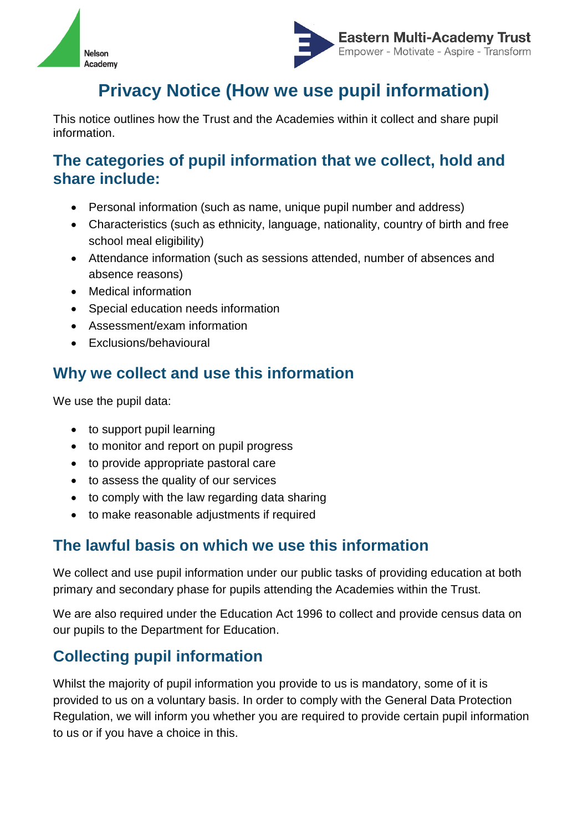



# **Privacy Notice (How we use pupil information)**

This notice outlines how the Trust and the Academies within it collect and share pupil information.

#### **The categories of pupil information that we collect, hold and share include:**

- Personal information (such as name, unique pupil number and address)
- Characteristics (such as ethnicity, language, nationality, country of birth and free school meal eligibility)
- Attendance information (such as sessions attended, number of absences and absence reasons)
- Medical information
- Special education needs information
- Assessment/exam information
- Exclusions/behavioural

# **Why we collect and use this information**

We use the pupil data:

- to support pupil learning
- to monitor and report on pupil progress
- to provide appropriate pastoral care
- to assess the quality of our services
- to comply with the law regarding data sharing
- to make reasonable adjustments if required

## **The lawful basis on which we use this information**

We collect and use pupil information under our public tasks of providing education at both primary and secondary phase for pupils attending the Academies within the Trust.

We are also required under the Education Act 1996 to collect and provide census data on our pupils to the Department for Education.

# **Collecting pupil information**

Whilst the majority of pupil information you provide to us is mandatory, some of it is provided to us on a voluntary basis. In order to comply with the General Data Protection Regulation, we will inform you whether you are required to provide certain pupil information to us or if you have a choice in this.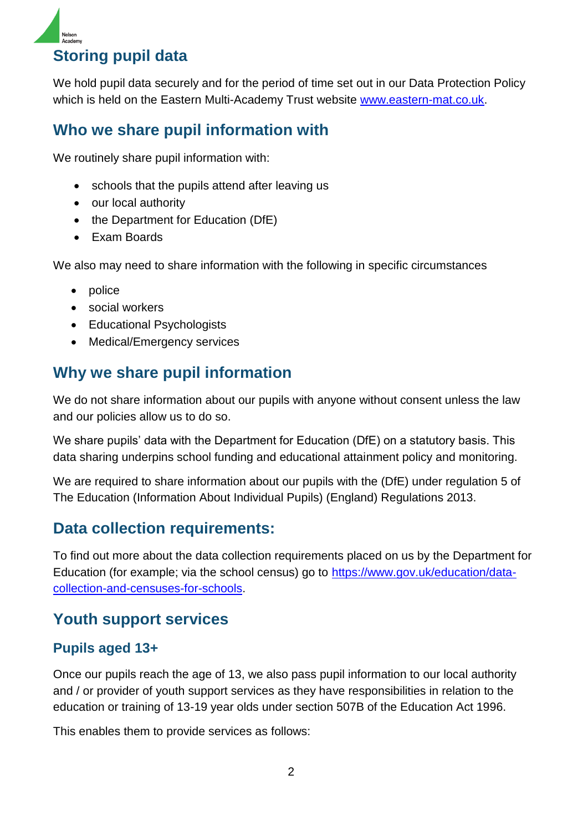

**Storing pupil data**

We hold pupil data securely and for the period of time set out in our Data Protection Policy which is held on the Eastern Multi-Academy Trust website [www.eastern-mat.co.uk.](http://www.eastern-mat.co.uk/)

## **Who we share pupil information with**

We routinely share pupil information with:

- schools that the pupils attend after leaving us
- our local authority
- the Department for Education (DfE)
- Exam Boards

We also may need to share information with the following in specific circumstances

- police
- social workers
- Educational Psychologists
- Medical/Emergency services

## **Why we share pupil information**

We do not share information about our pupils with anyone without consent unless the law and our policies allow us to do so.

We share pupils' data with the Department for Education (DfE) on a statutory basis. This data sharing underpins school funding and educational attainment policy and monitoring.

We are required to share information about our pupils with the (DfE) under regulation 5 of The Education (Information About Individual Pupils) (England) Regulations 2013.

## **Data collection requirements:**

To find out more about the data collection requirements placed on us by the Department for Education (for example; via the school census) go to [https://www.gov.uk/education/data](https://www.gov.uk/education/data-collection-and-censuses-for-schools)[collection-and-censuses-for-schools.](https://www.gov.uk/education/data-collection-and-censuses-for-schools)

#### **Youth support services**

#### **Pupils aged 13+**

Once our pupils reach the age of 13, we also pass pupil information to our local authority and / or provider of youth support services as they have responsibilities in relation to the education or training of 13-19 year olds under section 507B of the Education Act 1996.

This enables them to provide services as follows: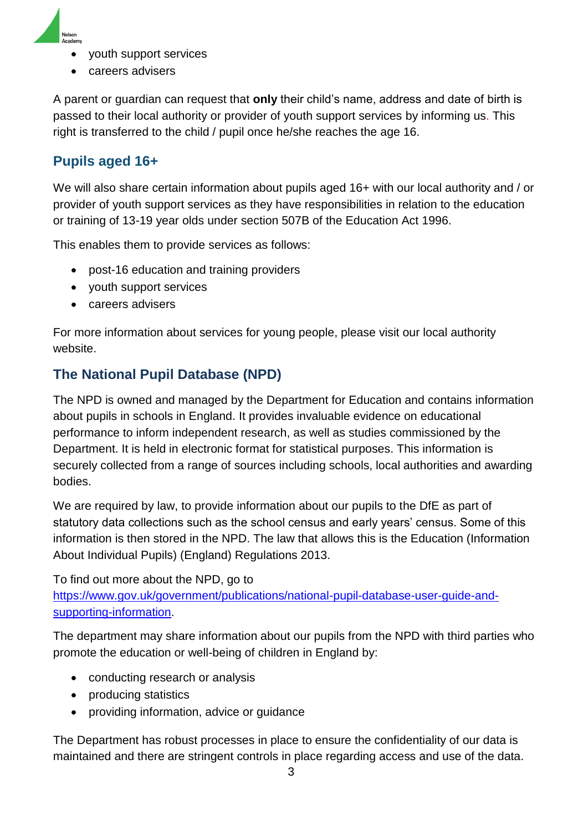

- youth support services
- careers advisers

A parent or guardian can request that **only** their child's name, address and date of birth is passed to their local authority or provider of youth support services by informing us. This right is transferred to the child / pupil once he/she reaches the age 16.

#### **Pupils aged 16+**

We will also share certain information about pupils aged 16+ with our local authority and / or provider of youth support services as they have responsibilities in relation to the education or training of 13-19 year olds under section 507B of the Education Act 1996.

This enables them to provide services as follows:

- post-16 education and training providers
- youth support services
- careers advisers

For more information about services for young people, please visit our local authority website.

#### **The National Pupil Database (NPD)**

The NPD is owned and managed by the Department for Education and contains information about pupils in schools in England. It provides invaluable evidence on educational performance to inform independent research, as well as studies commissioned by the Department. It is held in electronic format for statistical purposes. This information is securely collected from a range of sources including schools, local authorities and awarding bodies.

We are required by law, to provide information about our pupils to the DfE as part of statutory data collections such as the school census and early years' census. Some of this information is then stored in the NPD. The law that allows this is the Education (Information About Individual Pupils) (England) Regulations 2013.

To find out more about the NPD, go to

[https://www.gov.uk/government/publications/national-pupil-database-user-guide-and](https://www.gov.uk/government/publications/national-pupil-database-user-guide-and-supporting-information)[supporting-information.](https://www.gov.uk/government/publications/national-pupil-database-user-guide-and-supporting-information)

The department may share information about our pupils from the NPD with third parties who promote the education or well-being of children in England by:

- conducting research or analysis
- producing statistics
- providing information, advice or guidance

The Department has robust processes in place to ensure the confidentiality of our data is maintained and there are stringent controls in place regarding access and use of the data.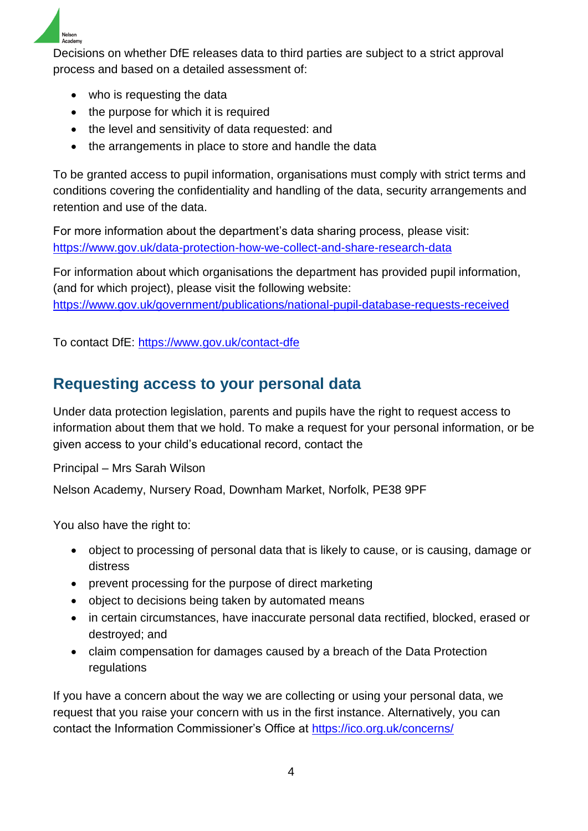

Decisions on whether DfE releases data to third parties are subject to a strict approval process and based on a detailed assessment of:

- who is requesting the data
- the purpose for which it is required
- the level and sensitivity of data requested: and
- the arrangements in place to store and handle the data

To be granted access to pupil information, organisations must comply with strict terms and conditions covering the confidentiality and handling of the data, security arrangements and retention and use of the data.

For more information about the department's data sharing process, please visit: <https://www.gov.uk/data-protection-how-we-collect-and-share-research-data>

For information about which organisations the department has provided pupil information, (and for which project), please visit the following website: <https://www.gov.uk/government/publications/national-pupil-database-requests-received>

To contact DfE:<https://www.gov.uk/contact-dfe>

# **Requesting access to your personal data**

Under data protection legislation, parents and pupils have the right to request access to information about them that we hold. To make a request for your personal information, or be given access to your child's educational record, contact the

Principal – Mrs Sarah Wilson

Nelson Academy, Nursery Road, Downham Market, Norfolk, PE38 9PF

You also have the right to:

- object to processing of personal data that is likely to cause, or is causing, damage or distress
- prevent processing for the purpose of direct marketing
- object to decisions being taken by automated means
- in certain circumstances, have inaccurate personal data rectified, blocked, erased or destroyed; and
- claim compensation for damages caused by a breach of the Data Protection regulations

If you have a concern about the way we are collecting or using your personal data, we request that you raise your concern with us in the first instance. Alternatively, you can contact the Information Commissioner's Office at<https://ico.org.uk/concerns/>